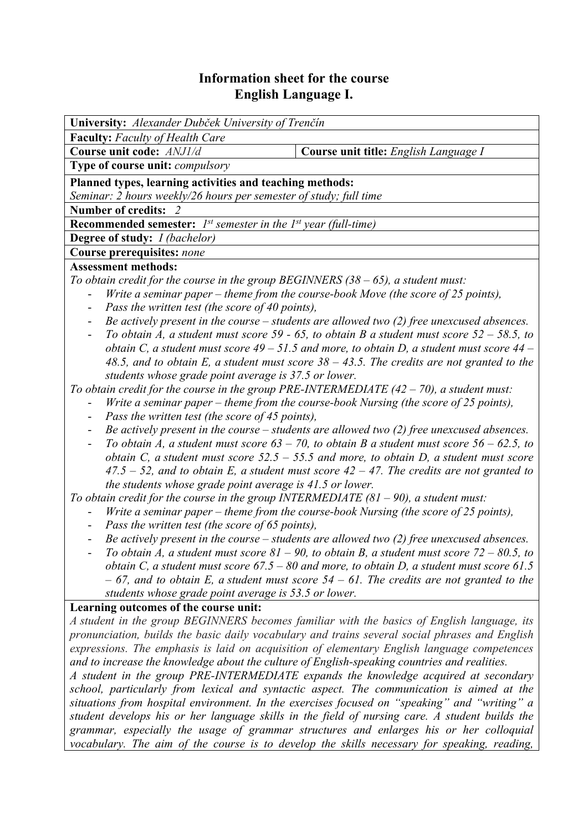# **Information sheet for the course English Language I.**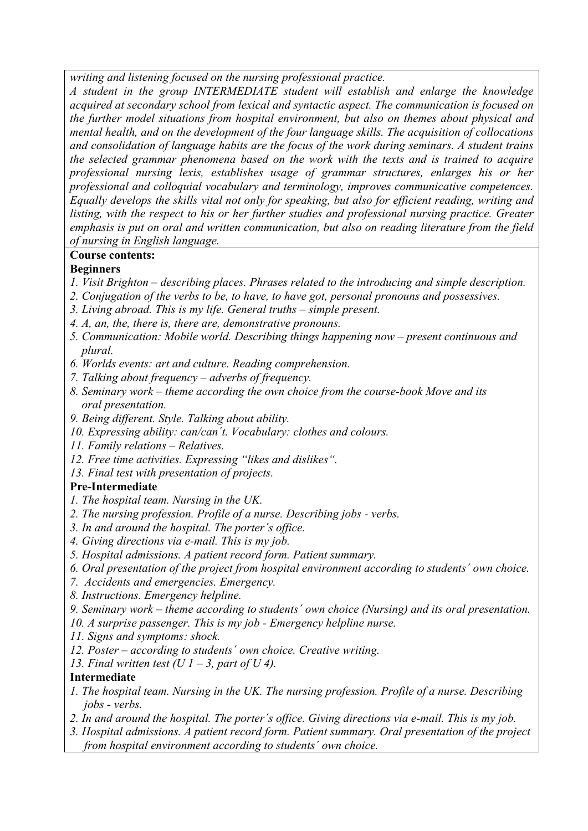*writing and listening focused on the nursing professional practice.* 

*A student in the group INTERMEDIATE student will establish and enlarge the knowledge acquired at secondary school from lexical and syntactic aspect. The communication is focused on the further model situations from hospital environment, but also on themes about physical and mental health, and on the development of the four language skills. The acquisition of collocations and consolidation of language habits are the focus of the work during seminars. A student trains the selected grammar phenomena based on the work with the texts and is trained to acquire professional nursing lexis, establishes usage of grammar structures, enlarges his or her professional and colloquial vocabulary and terminology, improves communicative competences. Equally develops the skills vital not only for speaking, but also for efficient reading, writing and listing, with the respect to his or her further studies and professional nursing practice. Greater emphasis is put on oral and written communication, but also on reading literature from the field of nursing in English language.* 

# **Course contents:**

## **Beginners**

- *1. Visit Brighton describing places. Phrases related to the introducing and simple description.*
- *2. Conjugation of the verbs to be, to have, to have got, personal pronouns and possessives.*
- *3. Living abroad. This is my life. General truths simple present.*
- *4. A, an, the, there is, there are, demonstrative pronouns.*
- *5. Communication: Mobile world. Describing things happening now present continuous and plural.*
- *6. Worlds events: art and culture. Reading comprehension.*
- *7. Talking about frequency adverbs of frequency.*
- *8. Seminary work theme according the own choice from the course-book Move and its oral presentation.*
- *9. Being different. Style. Talking about ability.*
- *10. Expressing ability: can/can´t. Vocabulary: clothes and colours.*
- *11. Family relations Relatives.*
- *12. Free time activities. Expressing "likes and dislikes".*
- *13. Final test with presentation of projects.*

## **Pre-Intermediate**

- *1. The hospital team. Nursing in the UK.*
- *2. The nursing profession. Profile of a nurse. Describing jobs verbs.*
- *3. In and around the hospital. The porter´s office.*
- *4. Giving directions via e-mail. This is my job.*
- *5. Hospital admissions. A patient record form. Patient summary.*
- *6. Oral presentation of the project from hospital environment according to students´ own choice.*
- *7. Accidents and emergencies. Emergency.*
- *8. Instructions. Emergency helpline.*
- *9. Seminary work theme according to students´ own choice (Nursing) and its oral presentation.*
- *10. A surprise passenger. This is my job Emergency helpline nurse.*
- *11. Signs and symptoms: shock.*
- *12. Poster according to students´ own choice. Creative writing.*
- *13. Final written test (U 1 3, part of U 4).*

## **Intermediate**

- *1. The hospital team. Nursing in the UK. The nursing profession. Profile of a nurse. Describing jobs - verbs.*
- *2. In and around the hospital. The porter´s office. Giving directions via e-mail. This is my job.*
- *3. Hospital admissions. A patient record form. Patient summary. Oral presentation of the project from hospital environment according to students´ own choice.*